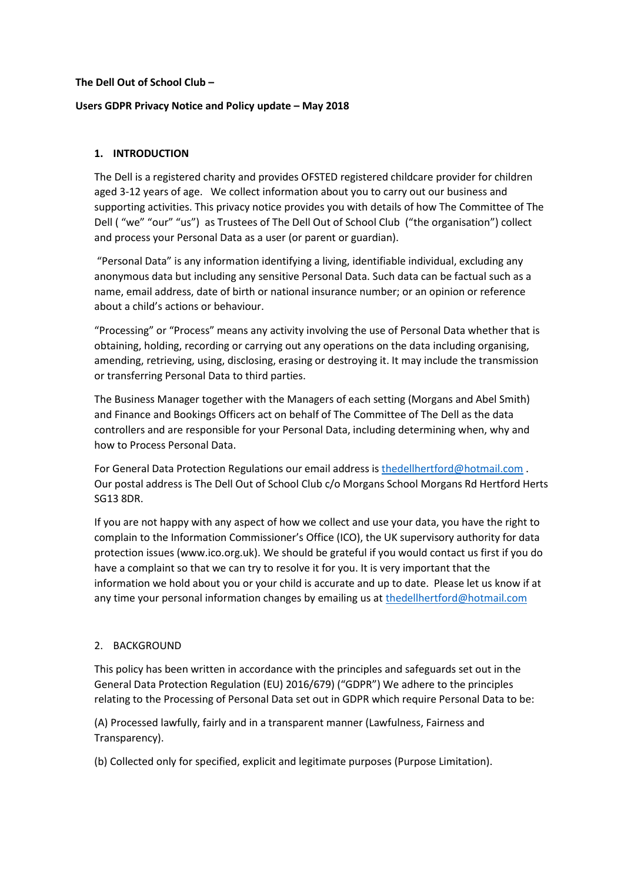## **The Dell Out of School Club –**

## **Users GDPR Privacy Notice and Policy update – May 2018**

## **1. INTRODUCTION**

The Dell is a registered charity and provides OFSTED registered childcare provider for children aged 3-12 years of age. We collect information about you to carry out our business and supporting activities. This privacy notice provides you with details of how The Committee of The Dell ("we" "our" "us") as Trustees of The Dell Out of School Club ("the organisation") collect and process your Personal Data as a user (or parent or guardian).

"Personal Data" is any information identifying a living, identifiable individual, excluding any anonymous data but including any sensitive Personal Data. Such data can be factual such as a name, email address, date of birth or national insurance number; or an opinion or reference about a child's actions or behaviour.

"Processing" or "Process" means any activity involving the use of Personal Data whether that is obtaining, holding, recording or carrying out any operations on the data including organising, amending, retrieving, using, disclosing, erasing or destroying it. It may include the transmission or transferring Personal Data to third parties.

The Business Manager together with the Managers of each setting (Morgans and Abel Smith) and Finance and Bookings Officers act on behalf of The Committee of The Dell as the data controllers and are responsible for your Personal Data, including determining when, why and how to Process Personal Data.

For General Data Protection Regulations our email address is [thedellhertford@hotmail.com](mailto:thedellhertford@hotmail.com) . Our postal address is The Dell Out of School Club c/o Morgans School Morgans Rd Hertford Herts SG13 8DR.

If you are not happy with any aspect of how we collect and use your data, you have the right to complain to the Information Commissioner's Office (ICO), the UK supervisory authority for data protection issues (www.ico.org.uk). We should be grateful if you would contact us first if you do have a complaint so that we can try to resolve it for you. It is very important that the information we hold about you or your child is accurate and up to date. Please let us know if at any time your personal information changes by emailing us at [thedellhertford@hotmail.com](mailto:thedellhertford@hotmail.com)

### 2. BACKGROUND

This policy has been written in accordance with the principles and safeguards set out in the General Data Protection Regulation (EU) 2016/679) ("GDPR") We adhere to the principles relating to the Processing of Personal Data set out in GDPR which require Personal Data to be:

(A) Processed lawfully, fairly and in a transparent manner (Lawfulness, Fairness and Transparency).

(b) Collected only for specified, explicit and legitimate purposes (Purpose Limitation).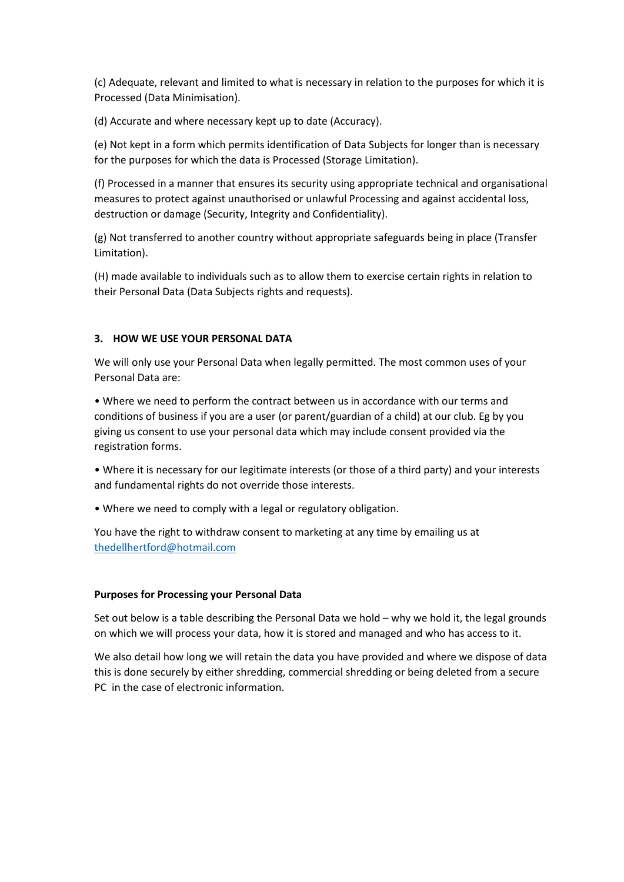(c) Adequate, relevant and limited to what is necessary in relation to the purposes for which it is Processed (Data Minimisation).

(d) Accurate and where necessary kept up to date (Accuracy).

(e) Not kept in a form which permits identification of Data Subjects for longer than is necessary for the purposes for which the data is Processed (Storage Limitation).

(f) Processed in a manner that ensures its security using appropriate technical and organisational measures to protect against unauthorised or unlawful Processing and against accidental loss, destruction or damage (Security, Integrity and Confidentiality).

(g) Not transferred to another country without appropriate safeguards being in place (Transfer Limitation).

(H) made available to individuals such as to allow them to exercise certain rights in relation to their Personal Data (Data Subjects rights and requests).

## **3. HOW WE USE YOUR PERSONAL DATA**

We will only use your Personal Data when legally permitted. The most common uses of your Personal Data are:

• Where we need to perform the contract between us in accordance with our terms and conditions of business if you are a user (or parent/guardian of a child) at our club. Eg by you giving us consent to use your personal data which may include consent provided via the registration forms.

• Where it is necessary for our legitimate interests (or those of a third party) and your interests and fundamental rights do not override those interests.

• Where we need to comply with a legal or regulatory obligation.

You have the right to withdraw consent to marketing at any time by emailing us at [thedellhertford@hotmail.com](mailto:thedellhertford@hotmail.com)

### **Purposes for Processing your Personal Data**

Set out below is a table describing the Personal Data we hold – why we hold it, the legal grounds on which we will process your data, how it is stored and managed and who has access to it.

We also detail how long we will retain the data you have provided and where we dispose of data this is done securely by either shredding, commercial shredding or being deleted from a secure PC in the case of electronic information.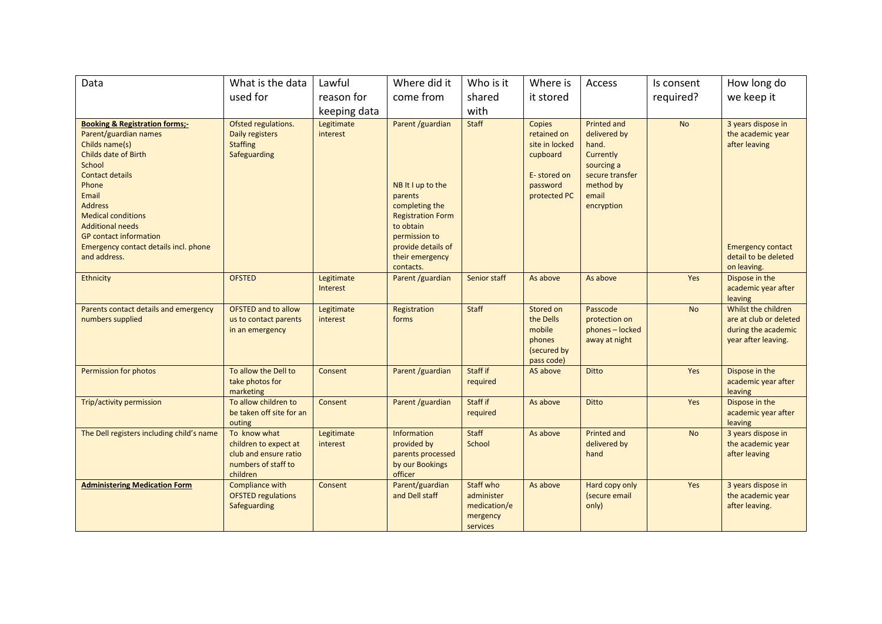| Data                                                                                                                                                                                                                                                                                                                                   | What is the data                                                                                  | Lawful                 | Where did it                                                                                                                                                                       | Who is it                                                       | Where is                                                                                       | Access                                                                                                                        | Is consent | How long do                                                                                                                 |
|----------------------------------------------------------------------------------------------------------------------------------------------------------------------------------------------------------------------------------------------------------------------------------------------------------------------------------------|---------------------------------------------------------------------------------------------------|------------------------|------------------------------------------------------------------------------------------------------------------------------------------------------------------------------------|-----------------------------------------------------------------|------------------------------------------------------------------------------------------------|-------------------------------------------------------------------------------------------------------------------------------|------------|-----------------------------------------------------------------------------------------------------------------------------|
|                                                                                                                                                                                                                                                                                                                                        | used for                                                                                          | reason for             | come from                                                                                                                                                                          | shared                                                          | it stored                                                                                      |                                                                                                                               | required?  | we keep it                                                                                                                  |
|                                                                                                                                                                                                                                                                                                                                        |                                                                                                   | keeping data           |                                                                                                                                                                                    | with                                                            |                                                                                                |                                                                                                                               |            |                                                                                                                             |
| <b>Booking &amp; Registration forms;-</b><br>Parent/guardian names<br>Childs name(s)<br>Childs date of Birth<br>School<br><b>Contact details</b><br>Phone<br>Email<br><b>Address</b><br><b>Medical conditions</b><br><b>Additional needs</b><br><b>GP</b> contact information<br>Emergency contact details incl. phone<br>and address. | Ofsted regulations.<br>Daily registers<br><b>Staffing</b><br>Safeguarding                         | Legitimate<br>interest | Parent /guardian<br>NB It I up to the<br>parents<br>completing the<br><b>Registration Form</b><br>to obtain<br>permission to<br>provide details of<br>their emergency<br>contacts. | <b>Staff</b>                                                    | Copies<br>retained on<br>site in locked<br>cupboard<br>E-stored on<br>password<br>protected PC | <b>Printed and</b><br>delivered by<br>hand.<br>Currently<br>sourcing a<br>secure transfer<br>method by<br>email<br>encryption | <b>No</b>  | 3 years dispose in<br>the academic year<br>after leaving<br><b>Emergency contact</b><br>detail to be deleted<br>on leaving. |
| <b>Ethnicity</b>                                                                                                                                                                                                                                                                                                                       | <b>OFSTED</b>                                                                                     | Legitimate<br>Interest | Parent /guardian                                                                                                                                                                   | Senior staff                                                    | As above                                                                                       | As above                                                                                                                      | Yes        | Dispose in the<br>academic year after<br>leaving                                                                            |
| Parents contact details and emergency<br>numbers supplied                                                                                                                                                                                                                                                                              | <b>OFSTED and to allow</b><br>us to contact parents<br>in an emergency                            | Legitimate<br>interest | Registration<br>forms                                                                                                                                                              | Staff                                                           | Stored on<br>the Dells<br>mobile<br>phones<br>(secured by<br>pass code)                        | Passcode<br>protection on<br>phones - locked<br>away at night                                                                 | <b>No</b>  | Whilst the children<br>are at club or deleted<br>during the academic<br>year after leaving.                                 |
| Permission for photos                                                                                                                                                                                                                                                                                                                  | To allow the Dell to<br>take photos for<br>marketing                                              | Consent                | Parent /guardian                                                                                                                                                                   | Staff if<br>required                                            | AS above                                                                                       | <b>Ditto</b>                                                                                                                  | Yes        | Dispose in the<br>academic year after<br>leaving                                                                            |
| Trip/activity permission                                                                                                                                                                                                                                                                                                               | To allow children to<br>be taken off site for an<br>outing                                        | Consent                | Parent /guardian                                                                                                                                                                   | Staff if<br>required                                            | As above                                                                                       | <b>Ditto</b>                                                                                                                  | Yes        | Dispose in the<br>academic year after<br>leaving                                                                            |
| The Dell registers including child's name                                                                                                                                                                                                                                                                                              | To know what<br>children to expect at<br>club and ensure ratio<br>numbers of staff to<br>children | Legitimate<br>interest | <b>Information</b><br>provided by<br>parents processed<br>by our Bookings<br>officer                                                                                               | <b>Staff</b><br>School                                          | As above                                                                                       | <b>Printed and</b><br>delivered by<br>hand                                                                                    | <b>No</b>  | 3 years dispose in<br>the academic year<br>after leaving                                                                    |
| <b>Administering Medication Form</b>                                                                                                                                                                                                                                                                                                   | Compliance with<br><b>OFSTED regulations</b><br>Safeguarding                                      | Consent                | Parent/guardian<br>and Dell staff                                                                                                                                                  | Staff who<br>administer<br>medication/e<br>mergency<br>services | As above                                                                                       | Hard copy only<br>(secure email<br>only)                                                                                      | Yes        | 3 years dispose in<br>the academic year<br>after leaving.                                                                   |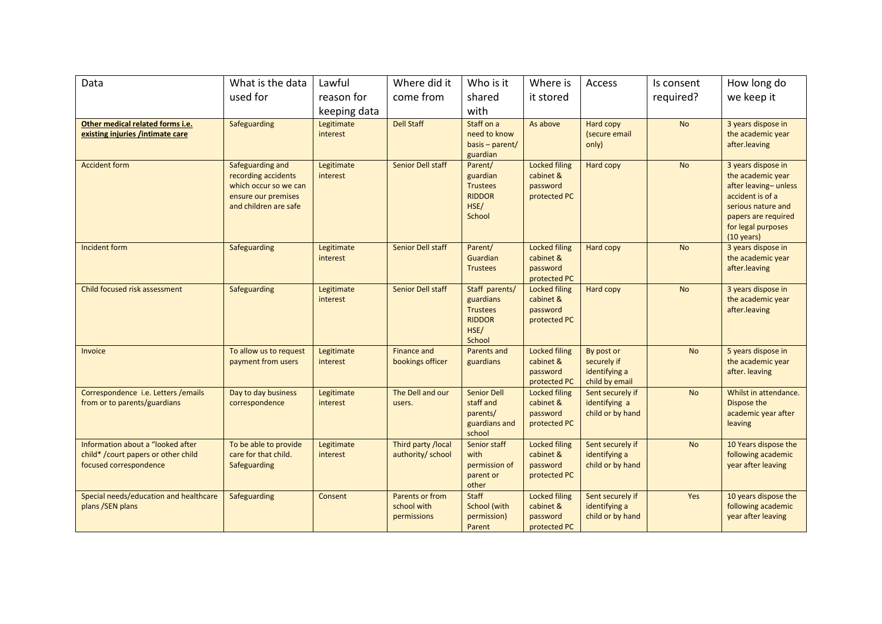| Data                                                                                               | What is the data                                                                                                 | Lawful                        | Where did it                                  | Who is it                                                                         | Where is                                                      | Access                                                       | Is consent | How long do                                                                                                                                                                    |
|----------------------------------------------------------------------------------------------------|------------------------------------------------------------------------------------------------------------------|-------------------------------|-----------------------------------------------|-----------------------------------------------------------------------------------|---------------------------------------------------------------|--------------------------------------------------------------|------------|--------------------------------------------------------------------------------------------------------------------------------------------------------------------------------|
|                                                                                                    | used for                                                                                                         | reason for                    | come from                                     | shared                                                                            | it stored                                                     |                                                              | required?  | we keep it                                                                                                                                                                     |
|                                                                                                    |                                                                                                                  | keeping data                  |                                               | with                                                                              |                                                               |                                                              |            |                                                                                                                                                                                |
| Other medical related forms i.e.<br>existing injuries /intimate care                               | Safeguarding                                                                                                     | Legitimate<br>interest        | <b>Dell Staff</b>                             | Staff on a<br>need to know<br>basis - parent/<br>guardian                         | As above                                                      | Hard copy<br>(secure email<br>only)                          | <b>No</b>  | 3 years dispose in<br>the academic year<br>after.leaving                                                                                                                       |
| <b>Accident form</b>                                                                               | Safeguarding and<br>recording accidents<br>which occur so we can<br>ensure our premises<br>and children are safe | Legitimate<br>interest        | Senior Dell staff                             | Parent/<br>guardian<br><b>Trustees</b><br><b>RIDDOR</b><br>HSE/<br>School         | <b>Locked filing</b><br>cabinet &<br>password<br>protected PC | Hard copy                                                    | <b>No</b>  | 3 years dispose in<br>the academic year<br>after leaving-unless<br>accident is of a<br>serious nature and<br>papers are required<br>for legal purposes<br>$(10 \text{ years})$ |
| <b>Incident form</b>                                                                               | Safeguarding                                                                                                     | Legitimate<br>interest        | Senior Dell staff                             | Parent/<br>Guardian<br><b>Trustees</b>                                            | <b>Locked filing</b><br>cabinet &<br>password<br>protected PC | Hard copy                                                    | <b>No</b>  | 3 years dispose in<br>the academic year<br>after.leaving                                                                                                                       |
| Child focused risk assessment                                                                      | Safeguarding                                                                                                     | Legitimate<br>interest        | Senior Dell staff                             | Staff parents/<br>guardians<br><b>Trustees</b><br><b>RIDDOR</b><br>HSE/<br>School | <b>Locked filing</b><br>cabinet &<br>password<br>protected PC | Hard copy                                                    | <b>No</b>  | 3 years dispose in<br>the academic year<br>after.leaving                                                                                                                       |
| Invoice                                                                                            | To allow us to request<br>payment from users                                                                     | Legitimate<br>interest        | <b>Finance and</b><br>bookings officer        | <b>Parents and</b><br>guardians                                                   | <b>Locked filing</b><br>cabinet &<br>password<br>protected PC | By post or<br>securely if<br>identifying a<br>child by email | <b>No</b>  | 5 years dispose in<br>the academic year<br>after. leaving                                                                                                                      |
| Correspondence i.e. Letters / emails<br>from or to parents/guardians                               | Day to day business<br>correspondence                                                                            | Legitimate<br>interest        | The Dell and our<br>users.                    | <b>Senior Dell</b><br>staff and<br>parents/<br>guardians and<br>school            | <b>Locked filing</b><br>cabinet &<br>password<br>protected PC | Sent securely if<br>identifying a<br>child or by hand        | <b>No</b>  | Whilst in attendance.<br>Dispose the<br>academic year after<br>leaving                                                                                                         |
| Information about a "looked after<br>child* /court papers or other child<br>focused correspondence | To be able to provide<br>care for that child.<br>Safeguarding                                                    | Legitimate<br><i>interest</i> | Third party /local<br>authority/ school       | Senior staff<br>with<br>permission of<br>parent or<br>other                       | <b>Locked filing</b><br>cabinet &<br>password<br>protected PC | Sent securely if<br>identifying a<br>child or by hand        | <b>No</b>  | 10 Years dispose the<br>following academic<br>year after leaving                                                                                                               |
| Special needs/education and healthcare<br>plans /SEN plans                                         | Safeguarding                                                                                                     | Consent                       | Parents or from<br>school with<br>permissions | <b>Staff</b><br><b>School (with</b><br>permission)<br>Parent                      | <b>Locked filing</b><br>cabinet &<br>password<br>protected PC | Sent securely if<br>identifying a<br>child or by hand        | Yes        | 10 years dispose the<br>following academic<br>year after leaving                                                                                                               |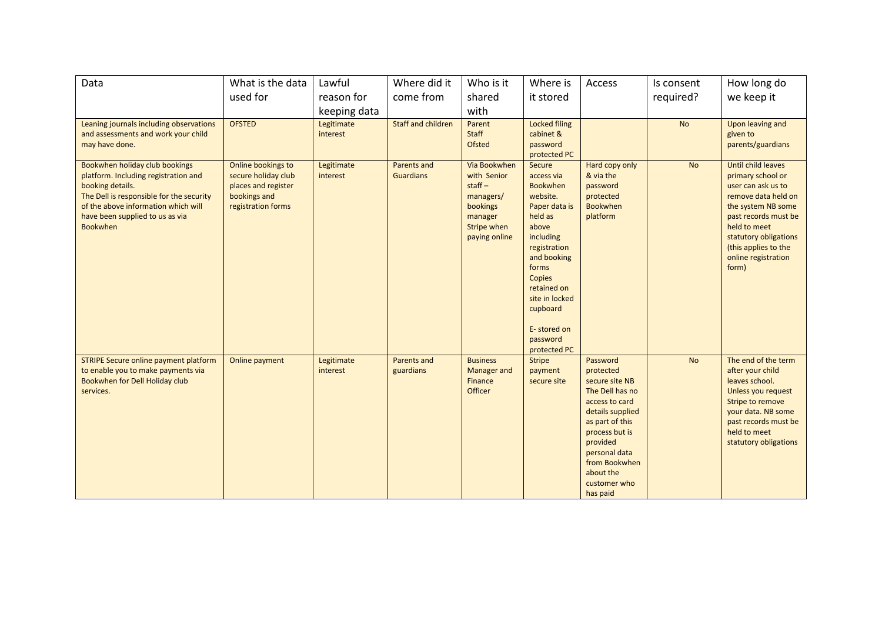| Data                                                                                                                                                                                                                                | What is the data                                                                                       | Lawful                 | Where did it                    | Who is it                                                                                                          | Where is                                                                                                                                                                                                                                                      | Access                                                                                                                                                                                                                       | Is consent | How long do                                                                                                                                                                                                                         |
|-------------------------------------------------------------------------------------------------------------------------------------------------------------------------------------------------------------------------------------|--------------------------------------------------------------------------------------------------------|------------------------|---------------------------------|--------------------------------------------------------------------------------------------------------------------|---------------------------------------------------------------------------------------------------------------------------------------------------------------------------------------------------------------------------------------------------------------|------------------------------------------------------------------------------------------------------------------------------------------------------------------------------------------------------------------------------|------------|-------------------------------------------------------------------------------------------------------------------------------------------------------------------------------------------------------------------------------------|
|                                                                                                                                                                                                                                     | used for                                                                                               | reason for             | come from                       | shared                                                                                                             | it stored                                                                                                                                                                                                                                                     |                                                                                                                                                                                                                              | required?  | we keep it                                                                                                                                                                                                                          |
|                                                                                                                                                                                                                                     |                                                                                                        | keeping data           |                                 | with                                                                                                               |                                                                                                                                                                                                                                                               |                                                                                                                                                                                                                              |            |                                                                                                                                                                                                                                     |
| Leaning journals including observations<br>and assessments and work your child<br>may have done.                                                                                                                                    | <b>OFSTED</b>                                                                                          | Legitimate<br>interest | <b>Staff and children</b>       | Parent<br>Staff<br><b>Ofsted</b>                                                                                   | <b>Locked filing</b><br>cabinet &<br>password<br>protected PC                                                                                                                                                                                                 |                                                                                                                                                                                                                              | <b>No</b>  | Upon leaving and<br>given to<br>parents/guardians                                                                                                                                                                                   |
| Bookwhen holiday club bookings<br>platform. Including registration and<br>booking details.<br>The Dell is responsible for the security<br>of the above information which will<br>have been supplied to us as via<br><b>Bookwhen</b> | Online bookings to<br>secure holiday club<br>places and register<br>bookings and<br>registration forms | Legitimate<br>interest | Parents and<br><b>Guardians</b> | Via Bookwhen<br>with Senior<br>$stat -$<br>managers/<br>bookings<br>manager<br><b>Stripe when</b><br>paying online | Secure<br>access via<br><b>Bookwhen</b><br>website.<br>Paper data is<br>held as<br>above<br><i>including</i><br>registration<br>and booking<br>forms<br><b>Copies</b><br>retained on<br>site in locked<br>cupboard<br>E-stored on<br>password<br>protected PC | Hard copy only<br>& via the<br>password<br>protected<br><b>Bookwhen</b><br>platform                                                                                                                                          | <b>No</b>  | Until child leaves<br>primary school or<br>user can ask us to<br>remove data held on<br>the system NB some<br>past records must be<br>held to meet<br>statutory obligations<br>(this applies to the<br>online registration<br>form) |
| STRIPE Secure online payment platform<br>to enable you to make payments via<br>Bookwhen for Dell Holiday club<br>services.                                                                                                          | Online payment                                                                                         | Legitimate<br>interest | Parents and<br>guardians        | <b>Business</b><br><b>Manager</b> and<br>Finance<br>Officer                                                        | <b>Stripe</b><br>payment<br>secure site                                                                                                                                                                                                                       | Password<br>protected<br>secure site NB<br>The Dell has no<br>access to card<br>details supplied<br>as part of this<br>process but is<br>provided<br>personal data<br>from Bookwhen<br>about the<br>customer who<br>has paid | <b>No</b>  | The end of the term<br>after your child<br>leaves school.<br>Unless you request<br>Stripe to remove<br>your data. NB some<br>past records must be<br>held to meet<br>statutory obligations                                          |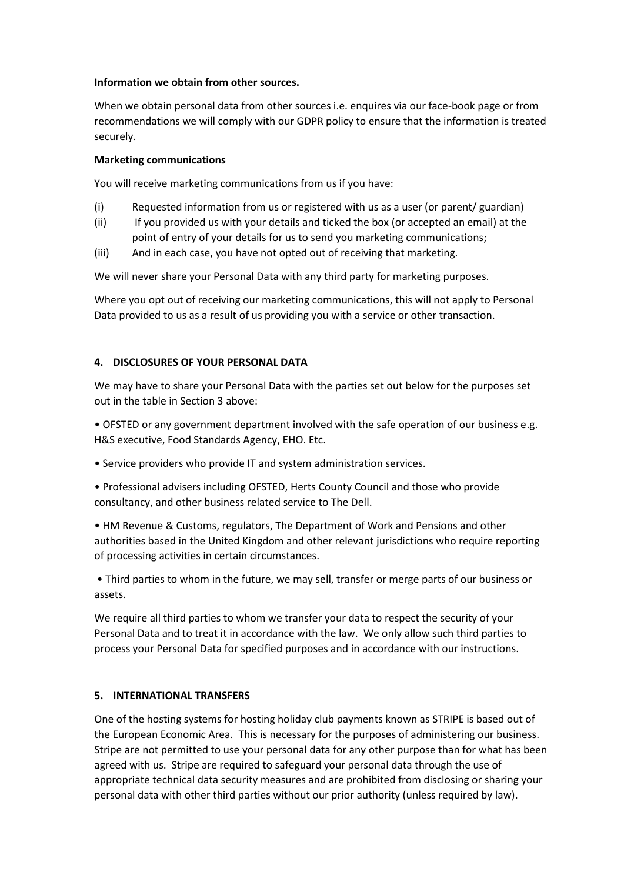### **Information we obtain from other sources.**

When we obtain personal data from other sources i.e. enquires via our face-book page or from recommendations we will comply with our GDPR policy to ensure that the information is treated securely.

## **Marketing communications**

You will receive marketing communications from us if you have:

- (i) Requested information from us or registered with us as a user (or parent/ guardian)
- (ii) If you provided us with your details and ticked the box (or accepted an email) at the point of entry of your details for us to send you marketing communications;
- (iii) And in each case, you have not opted out of receiving that marketing.

We will never share your Personal Data with any third party for marketing purposes.

Where you opt out of receiving our marketing communications, this will not apply to Personal Data provided to us as a result of us providing you with a service or other transaction.

# **4. DISCLOSURES OF YOUR PERSONAL DATA**

We may have to share your Personal Data with the parties set out below for the purposes set out in the table in Section 3 above:

• OFSTED or any government department involved with the safe operation of our business e.g. H&S executive, Food Standards Agency, EHO. Etc.

• Service providers who provide IT and system administration services.

• Professional advisers including OFSTED, Herts County Council and those who provide consultancy, and other business related service to The Dell.

• HM Revenue & Customs, regulators, The Department of Work and Pensions and other authorities based in the United Kingdom and other relevant jurisdictions who require reporting of processing activities in certain circumstances.

• Third parties to whom in the future, we may sell, transfer or merge parts of our business or assets.

We require all third parties to whom we transfer your data to respect the security of your Personal Data and to treat it in accordance with the law. We only allow such third parties to process your Personal Data for specified purposes and in accordance with our instructions.

# **5. INTERNATIONAL TRANSFERS**

One of the hosting systems for hosting holiday club payments known as STRIPE is based out of the European Economic Area. This is necessary for the purposes of administering our business. Stripe are not permitted to use your personal data for any other purpose than for what has been agreed with us. Stripe are required to safeguard your personal data through the use of appropriate technical data security measures and are prohibited from disclosing or sharing your personal data with other third parties without our prior authority (unless required by law).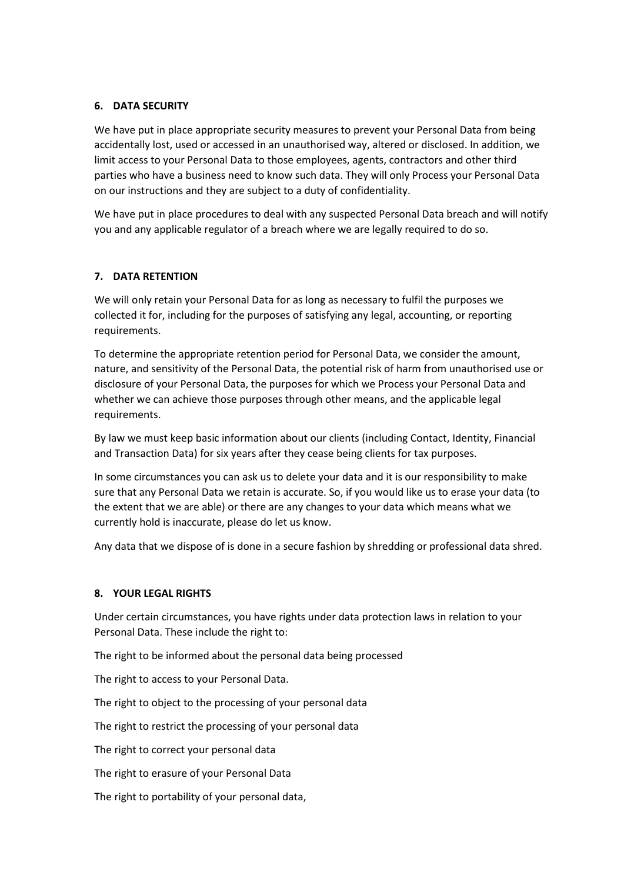## **6. DATA SECURITY**

We have put in place appropriate security measures to prevent your Personal Data from being accidentally lost, used or accessed in an unauthorised way, altered or disclosed. In addition, we limit access to your Personal Data to those employees, agents, contractors and other third parties who have a business need to know such data. They will only Process your Personal Data on our instructions and they are subject to a duty of confidentiality.

We have put in place procedures to deal with any suspected Personal Data breach and will notify you and any applicable regulator of a breach where we are legally required to do so.

### **7. DATA RETENTION**

We will only retain your Personal Data for as long as necessary to fulfil the purposes we collected it for, including for the purposes of satisfying any legal, accounting, or reporting requirements.

To determine the appropriate retention period for Personal Data, we consider the amount, nature, and sensitivity of the Personal Data, the potential risk of harm from unauthorised use or disclosure of your Personal Data, the purposes for which we Process your Personal Data and whether we can achieve those purposes through other means, and the applicable legal requirements.

By law we must keep basic information about our clients (including Contact, Identity, Financial and Transaction Data) for six years after they cease being clients for tax purposes.

In some circumstances you can ask us to delete your data and it is our responsibility to make sure that any Personal Data we retain is accurate. So, if you would like us to erase your data (to the extent that we are able) or there are any changes to your data which means what we currently hold is inaccurate, please do let us know.

Any data that we dispose of is done in a secure fashion by shredding or professional data shred.

### **8. YOUR LEGAL RIGHTS**

Under certain circumstances, you have rights under data protection laws in relation to your Personal Data. These include the right to:

The right to be informed about the personal data being processed

The right to access to your Personal Data.

The right to object to the processing of your personal data

The right to restrict the processing of your personal data

The right to correct your personal data

The right to erasure of your Personal Data

The right to portability of your personal data,